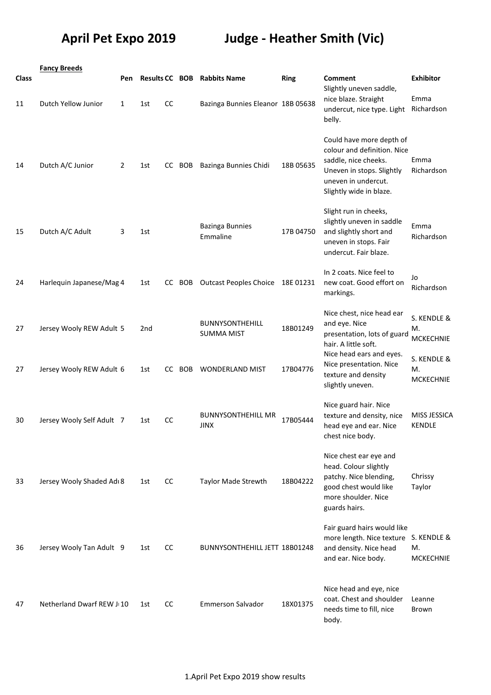## **April Pet Expo 2019 Judge - Heather Smith (Vic)**

|       | <b>Fancy Breeds</b>       |     |                       |               |        |                                             |             |                                                                                                                                                                |                                       |
|-------|---------------------------|-----|-----------------------|---------------|--------|---------------------------------------------|-------------|----------------------------------------------------------------------------------------------------------------------------------------------------------------|---------------------------------------|
| Class |                           | Pen | <b>Results CC BOB</b> |               |        | <b>Rabbits Name</b>                         | <b>Ring</b> | Comment<br>Slightly uneven saddle,                                                                                                                             | <b>Exhibitor</b>                      |
| 11    | Dutch Yellow Junior       | 1   | 1st                   | CC            |        | Bazinga Bunnies Eleanor 18B 05638           |             | nice blaze. Straight<br>undercut, nice type. Light<br>belly.                                                                                                   | Emma<br>Richardson                    |
| 14    | Dutch A/C Junior          | 2   | 1st                   |               | CC BOB | Bazinga Bunnies Chidi                       | 18B 05635   | Could have more depth of<br>colour and definition. Nice<br>saddle, nice cheeks.<br>Uneven in stops. Slightly<br>uneven in undercut.<br>Slightly wide in blaze. | Emma<br>Richardson                    |
| 15    | Dutch A/C Adult           | 3   | 1st                   |               |        | <b>Bazinga Bunnies</b><br>Emmaline          | 17B 04750   | Slight run in cheeks,<br>slightly uneven in saddle<br>and slightly short and<br>uneven in stops. Fair<br>undercut. Fair blaze.                                 | Emma<br>Richardson                    |
| 24    | Harlequin Japanese/Mag 4  |     | 1st                   | CC.           | BOB    | <b>Outcast Peoples Choice</b>               | 18E01231    | In 2 coats. Nice feel to<br>new coat. Good effort on<br>markings.                                                                                              | Jo<br>Richardson                      |
| 27    | Jersey Wooly REW Adult 5  |     | 2nd                   |               |        | <b>BUNNYSONTHEHILL</b><br><b>SUMMA MIST</b> | 18B01249    | Nice chest, nice head ear<br>and eye. Nice<br>presentation, lots of guard<br>hair. A little soft.                                                              | S. KENDLE &<br>М.<br><b>MCKECHNIE</b> |
| 27    | Jersey Wooly REW Adult 6  |     | 1st                   | CC            | BOB    | <b>WONDERLAND MIST</b>                      | 17B04776    | Nice head ears and eyes.<br>Nice presentation. Nice<br>texture and density<br>slightly uneven.                                                                 | S. KENDLE &<br>M.<br><b>MCKECHNIE</b> |
| 30    | Jersey Wooly Self Adult 7 |     | 1st                   | <b>CC</b>     |        | <b>BUNNYSONTHEHILL MR</b><br><b>JINX</b>    | 17B05444    | Nice guard hair. Nice<br>texture and density, nice<br>head eye and ear. Nice<br>chest nice body.                                                               | <b>MISS JESSICA</b><br><b>KENDLE</b>  |
| 33    | Jersey Wooly Shaded Adı 8 |     | 1st                   | <sub>CC</sub> |        | <b>Taylor Made Strewth</b>                  | 18B04222    | Nice chest ear eye and<br>head. Colour slightly<br>patchy. Nice blending,<br>good chest would like<br>more shoulder. Nice<br>guards hairs.                     | Chrissy<br>Taylor                     |
| 36    | Jersey Wooly Tan Adult 9  |     | 1st                   | CC            |        | BUNNYSONTHEHILL JETT 18B01248               |             | Fair guard hairs would like<br>more length. Nice texture S. KENDLE &<br>and density. Nice head<br>and ear. Nice body.                                          | M.<br><b>MCKECHNIE</b>                |
| 47    | Netherland Dwarf REW J(10 |     | 1st                   | CC            |        | <b>Emmerson Salvador</b>                    | 18X01375    | Nice head and eye, nice<br>coat. Chest and shoulder<br>needs time to fill, nice<br>body.                                                                       | Leanne<br>Brown                       |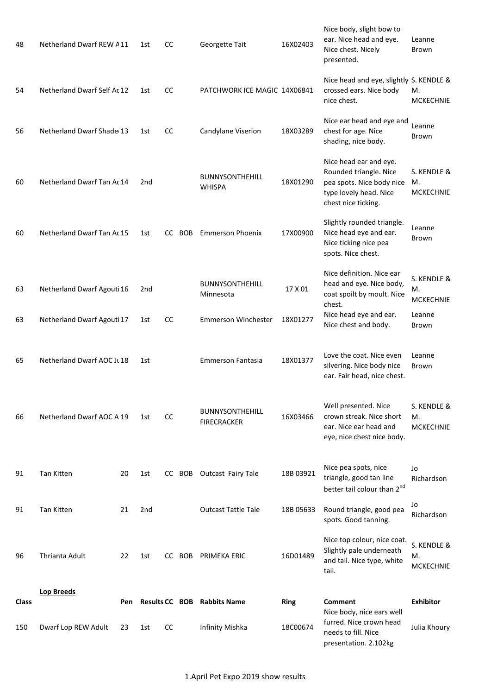| 150   | Dwarf Lop REW Adult         | 23  | 1st | cc        |        | Infinity Mishka                              | 18C00674    | Nice body, nice ears well<br>furred. Nice crown head<br>needs to fill. Nice<br>presentation. 2.102kg                           | Julia Khoury                          |
|-------|-----------------------------|-----|-----|-----------|--------|----------------------------------------------|-------------|--------------------------------------------------------------------------------------------------------------------------------|---------------------------------------|
| Class | <b>Lop Breeds</b>           | Pen |     |           |        | <b>Results CC BOB Rabbits Name</b>           | <b>Ring</b> | <b>Comment</b>                                                                                                                 | <b>Exhibitor</b>                      |
| 96    | Thrianta Adult              | 22  | 1st |           |        | CC BOB PRIMEKA ERIC                          | 16D01489    | Nice top colour, nice coat.<br>Slightly pale underneath<br>and tail. Nice type, white<br>tail.                                 | S. KENDLE &<br>M.<br><b>MCKECHNIE</b> |
| 91    | <b>Tan Kitten</b>           | 21  | 2nd |           |        | <b>Outcast Tattle Tale</b>                   | 18B 05633   | Round triangle, good pea<br>spots. Good tanning.                                                                               | Jo<br>Richardson                      |
| 91    | Tan Kitten                  | 20  | 1st |           |        | CC BOB Outcast Fairy Tale                    | 18B 03921   | Nice pea spots, nice<br>triangle, good tan line<br>better tail colour than 2nd                                                 | Jo<br>Richardson                      |
| 66    | Netherland Dwarf AOC A 19   |     | 1st | CC        |        | <b>BUNNYSONTHEHILL</b><br><b>FIRECRACKER</b> | 16X03466    | Well presented. Nice<br>crown streak. Nice short<br>ear. Nice ear head and<br>eye, nice chest nice body.                       | S. KENDLE &<br>M.<br><b>MCKECHNIE</b> |
| 65    | Netherland Dwarf AOC Jt 18  |     | 1st |           |        | <b>Emmerson Fantasia</b>                     | 18X01377    | Love the coat. Nice even<br>silvering. Nice body nice<br>ear. Fair head, nice chest.                                           | Leanne<br>Brown                       |
| 63    | Netherland Dwarf Agouti 17  |     | 1st | <b>CC</b> |        | <b>Emmerson Winchester</b>                   | 18X01277    | Nice head eye and ear.<br>Nice chest and body.                                                                                 | Leanne<br>Brown                       |
| 63    | Netherland Dwarf Agouti 16  |     | 2nd |           |        | <b>BUNNYSONTHEHILL</b><br>Minnesota          | 17 X 01     | Nice definition. Nice ear<br>head and eye. Nice body,<br>coat spoilt by moult. Nice<br>chest.                                  | S. KENDLE &<br>M.<br><b>MCKECHNIE</b> |
| 60    | Netherland Dwarf Tan Ac 15  |     | 1st |           | CC BOB | <b>Emmerson Phoenix</b>                      | 17X00900    | Slightly rounded triangle.<br>Nice head eye and ear.<br>Nice ticking nice pea<br>spots. Nice chest.                            | Leanne<br>Brown                       |
| 60    | Netherland Dwarf Tan Ac 14  |     | 2nd |           |        | <b>BUNNYSONTHEHILL</b><br><b>WHISPA</b>      | 18X01290    | Nice head ear and eye.<br>Rounded triangle. Nice<br>pea spots. Nice body nice<br>type lovely head. Nice<br>chest nice ticking. | S. KENDLE &<br>M.<br><b>MCKECHNIE</b> |
| 56    | Netherland Dwarf Shade 13   |     | 1st | cc        |        | Candylane Viserion                           | 18X03289    | Nice ear head and eye and<br>chest for age. Nice<br>shading, nice body.                                                        | Leanne<br>Brown                       |
| 54    | Netherland Dwarf Self Ac 12 |     | 1st | CC        |        | PATCHWORK ICE MAGIC 14X06841                 |             | Nice head and eye, slightly S. KENDLE &<br>crossed ears. Nice body<br>nice chest.                                              | М.<br><b>MCKECHNIE</b>                |
| 48    | Netherland Dwarf REW A11    |     | 1st | cc        |        | Georgette Tait                               | 16X02403    | Nice body, slight bow to<br>ear. Nice head and eye.<br>Nice chest. Nicely<br>presented.                                        | Leanne<br>Brown                       |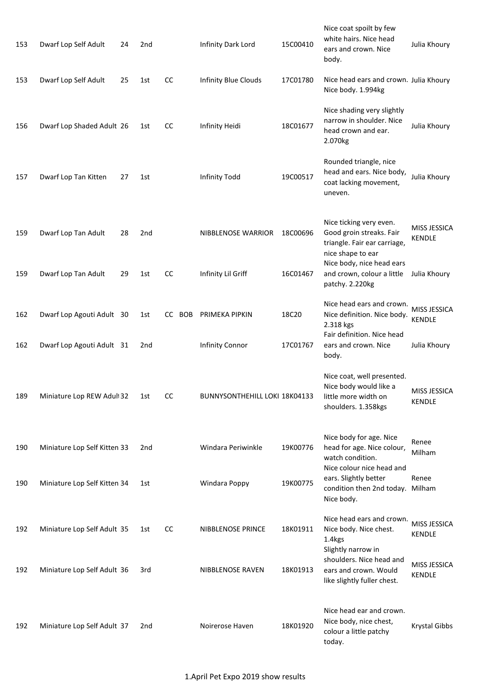| 153 | Dwarf Lop Self Adult         | 24 | 2nd |           | Infinity Dark Lord            | 15C00410 | Nice coat spoilt by few<br>white hairs. Nice head<br>ears and crown. Nice<br>body.                       | Julia Khoury                  |
|-----|------------------------------|----|-----|-----------|-------------------------------|----------|----------------------------------------------------------------------------------------------------------|-------------------------------|
| 153 | Dwarf Lop Self Adult         | 25 | 1st | CC        | Infinity Blue Clouds          | 17C01780 | Nice head ears and crown. Julia Khoury<br>Nice body. 1.994kg                                             |                               |
| 156 | Dwarf Lop Shaded Adult 26    |    | 1st | CC        | Infinity Heidi                | 18C01677 | Nice shading very slightly<br>narrow in shoulder. Nice<br>head crown and ear.<br>2.070kg                 | Julia Khoury                  |
| 157 | Dwarf Lop Tan Kitten         | 27 | 1st |           | <b>Infinity Todd</b>          | 19C00517 | Rounded triangle, nice<br>head and ears. Nice body,<br>coat lacking movement,<br>uneven.                 | Julia Khoury                  |
| 159 | Dwarf Lop Tan Adult          | 28 | 2nd |           | NIBBLENOSE WARRIOR            | 18C00696 | Nice ticking very even.<br>Good groin streaks. Fair<br>triangle. Fair ear carriage,<br>nice shape to ear | MISS JESSICA<br><b>KENDLE</b> |
| 159 | Dwarf Lop Tan Adult          | 29 | 1st | <b>CC</b> | Infinity Lil Griff            | 16C01467 | Nice body, nice head ears<br>and crown, colour a little<br>patchy. 2.220kg                               | Julia Khoury                  |
| 162 | Dwarf Lop Agouti Adult 30    |    | 1st | CC BOB    | PRIMEKA PIPKIN                | 18C20    | Nice head ears and crown.<br>Nice definition. Nice body.<br>2.318 kgs<br>Fair definition. Nice head      | MISS JESSICA<br><b>KENDLE</b> |
| 162 | Dwarf Lop Agouti Adult 31    |    | 2nd |           | <b>Infinity Connor</b>        | 17C01767 | ears and crown. Nice<br>body.                                                                            | Julia Khoury                  |
| 189 | Miniature Lop REW Adult 32   |    | 1st | CC        | BUNNYSONTHEHILL LOKI 18K04133 |          | Nice coat, well presented.<br>Nice body would like a<br>little more width on<br>shoulders. 1.358kgs      | MISS JESSICA<br><b>KENDLE</b> |
| 190 | Miniature Lop Self Kitten 33 |    | 2nd |           | Windara Periwinkle            | 19K00776 | Nice body for age. Nice<br>head for age. Nice colour,<br>watch condition.<br>Nice colour nice head and   | Renee<br>Milham               |
| 190 | Miniature Lop Self Kitten 34 |    | 1st |           | Windara Poppy                 | 19K00775 | ears. Slightly better<br>condition then 2nd today. Milham<br>Nice body.                                  | Renee                         |
| 192 | Miniature Lop Self Adult 35  |    | 1st | CC        | NIBBLENOSE PRINCE             | 18K01911 | Nice head ears and crown.<br>Nice body. Nice chest.<br>1.4kgs                                            | MISS JESSICA<br><b>KENDLE</b> |
| 192 | Miniature Lop Self Adult 36  |    | 3rd |           | NIBBLENOSE RAVEN              | 18K01913 | Slightly narrow in<br>shoulders. Nice head and<br>ears and crown. Would<br>like slightly fuller chest.   | MISS JESSICA<br><b>KENDLE</b> |
| 192 | Miniature Lop Self Adult 37  |    | 2nd |           | Noirerose Haven               | 18K01920 | Nice head ear and crown.<br>Nice body, nice chest,<br>colour a little patchy<br>today.                   | <b>Krystal Gibbs</b>          |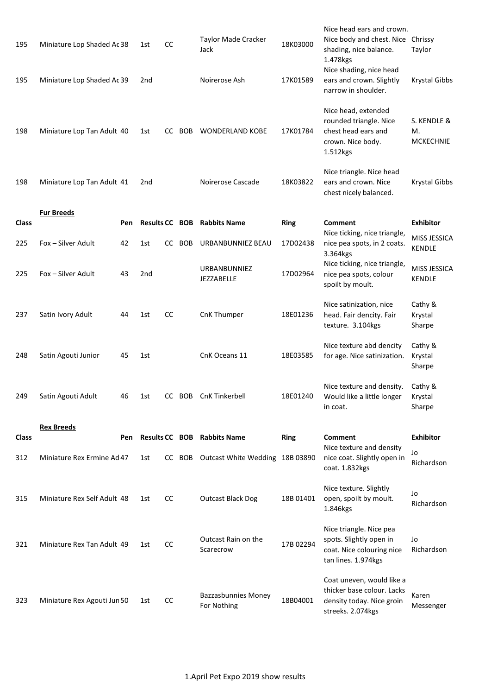| 195          | Miniature Lop Shaded Ac 38  |     | 1st             | cc        |        | Taylor Made Cracker<br>Jack               | 18K03000    | Nice head ears and crown.<br>Nice body and chest. Nice<br>shading, nice balance.<br>1.478kgs              | Chrissy<br>Taylor                       |
|--------------|-----------------------------|-----|-----------------|-----------|--------|-------------------------------------------|-------------|-----------------------------------------------------------------------------------------------------------|-----------------------------------------|
| 195          | Miniature Lop Shaded Ac 39  |     | 2nd             |           |        | Noirerose Ash                             | 17K01589    | Nice shading, nice head<br>ears and crown. Slightly<br>narrow in shoulder.                                | Krystal Gibbs                           |
| 198          | Miniature Lop Tan Adult 40  |     | 1st             |           | CC BOB | <b>WONDERLAND KOBE</b>                    | 17K01784    | Nice head, extended<br>rounded triangle. Nice<br>chest head ears and<br>crown. Nice body.<br>1.512kgs     | S. KENDLE &<br>M.<br><b>MCKECHNIE</b>   |
| 198          | Miniature Lop Tan Adult 41  |     | 2nd             |           |        | Noirerose Cascade                         | 18K03822    | Nice triangle. Nice head<br>ears and crown. Nice<br>chest nicely balanced.                                | Krystal Gibbs                           |
| <b>Class</b> | <b>Fur Breeds</b>           | Pen |                 |           |        | <b>Results CC BOB Rabbits Name</b>        | <b>Ring</b> | Comment                                                                                                   | <b>Exhibitor</b>                        |
| 225          | Fox - Silver Adult          | 42  | 1st             | CC        | BOB    | URBANBUNNIEZ BEAU                         | 17D02438    | Nice ticking, nice triangle,<br>nice pea spots, in 2 coats.                                               | <b>MISS JESSICA</b>                     |
| 225          | Fox - Silver Adult          | 43  | 2 <sub>nd</sub> |           |        | URBANBUNNIEZ<br>JEZZABELLE                | 17D02964    | 3.364kgs<br>Nice ticking, nice triangle,<br>nice pea spots, colour<br>spoilt by moult.                    | KENDLE<br>MISS JESSICA<br><b>KENDLE</b> |
| 237          | Satin Ivory Adult           | 44  | 1st             | cc        |        | CnK Thumper                               | 18E01236    | Nice satinization, nice<br>head. Fair dencity. Fair<br>texture. 3.104kgs                                  | Cathy &<br>Krystal<br>Sharpe            |
| 248          | Satin Agouti Junior         | 45  | 1st             |           |        | CnK Oceans 11                             | 18E03585    | Nice texture abd dencity<br>for age. Nice satinization.                                                   | Cathy &<br>Krystal<br>Sharpe            |
| 249          | Satin Agouti Adult          | 46  | 1st             |           |        | CC BOB CnK Tinkerbell                     | 18E01240    | Nice texture and density.<br>Would like a little longer<br>in coat.                                       | Cathy &<br>Krystal<br>Sharpe            |
| <b>Class</b> | <b>Rex Breeds</b>           | Pen |                 |           |        | <b>Results CC BOB Rabbits Name</b>        | <b>Ring</b> | Comment                                                                                                   | <b>Exhibitor</b>                        |
| 312          | Miniature Rex Ermine Ad 47  |     | 1st             |           |        | CC BOB Outcast White Wedding 18B 03890    |             | Nice texture and density<br>nice coat. Slightly open in<br>coat. 1.832kgs                                 | Jo<br>Richardson                        |
| 315          | Miniature Rex Self Adult 48 |     | 1st             | <b>CC</b> |        | <b>Outcast Black Dog</b>                  | 18B 01401   | Nice texture. Slightly<br>open, spoilt by moult.<br>1.846kgs                                              | Jo<br>Richardson                        |
| 321          | Miniature Rex Tan Adult 49  |     | 1st             | cc        |        | Outcast Rain on the<br>Scarecrow          | 17B 02294   | Nice triangle. Nice pea<br>spots. Slightly open in<br>coat. Nice colouring nice<br>tan lines. 1.974kgs    | Jo<br>Richardson                        |
| 323          | Miniature Rex Agouti Jun 50 |     | 1st             | cc        |        | <b>Bazzasbunnies Money</b><br>For Nothing | 18B04001    | Coat uneven, would like a<br>thicker base colour. Lacks<br>density today. Nice groin<br>streeks. 2.074kgs | Karen<br>Messenger                      |